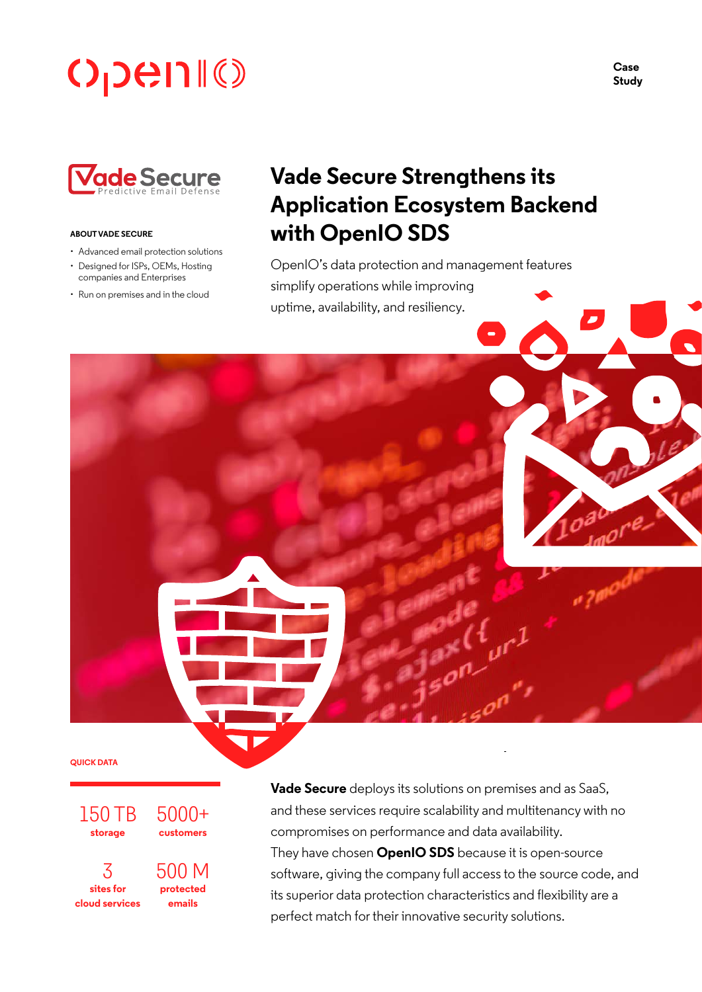# **OpenII®**



#### **ABOUT VADE SECURE**

- Advanced email protection solutions
- Designed for ISPs, OEMs, Hosting companies and Enterprises
- Run on premises and in the cloud

# **Vade Secure Strengthens its Application Ecosystem Backend with OpenIO SDS**

OpenIO's data protection and management features simplify operations while improving uptime, availability, and resiliency.

**QUICK DATA**

150 TB **storage**

3 **sites for cloud services** 5000+ **customers**

500 M **protected emails**

**Vade Secure** deploys its solutions on premises and as SaaS, and these services require scalability and multitenancy with no compromises on performance and data availability. They have chosen **OpenIO SDS** because it is open-source software, giving the company full access to the source code, and its superior data protection characteristics and flexibility are a perfect match for their innovative security solutions.

**Case Study**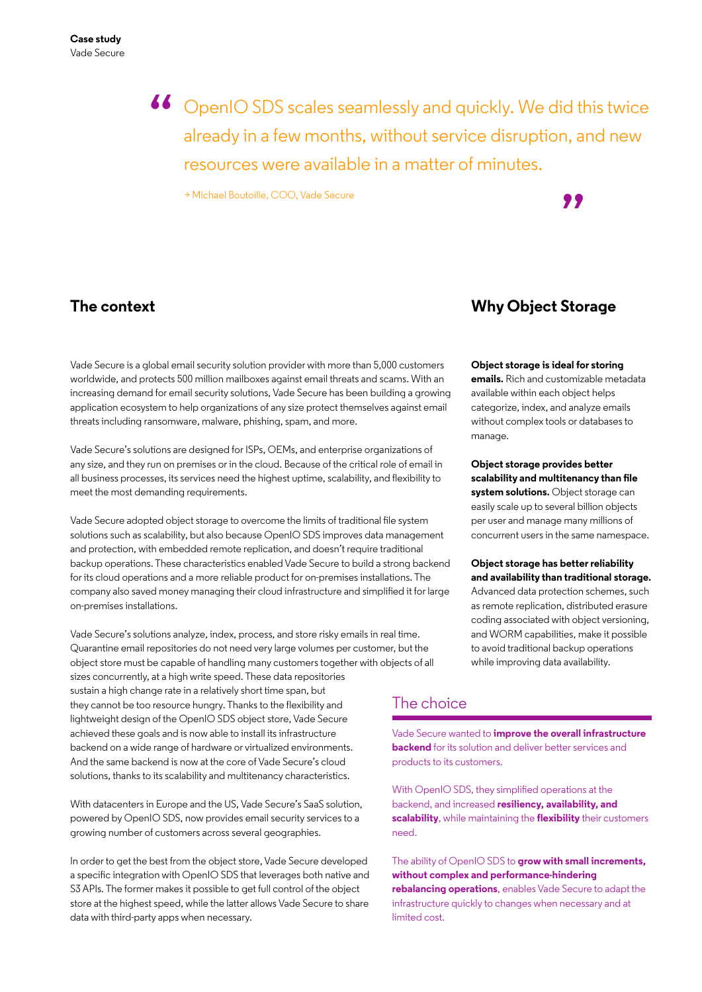66 OpenIO SDS scales seamlessly and quickly. We did this twice already in a few months, without service disruption, and new already in a few months, without service disruption, and new resources were available in a matter of minutes.

> Michael Boutoille, COO, Vade Secure



# **The context**

Vade Secure is a global email security solution provider with more than 5,000 customers worldwide, and protects 500 million mailboxes against email threats and scams. With an increasing demand for email security solutions, Vade Secure has been building a growing application ecosystem to help organizations of any size protect themselves against email threats including ransomware, malware, phishing, spam, and more.

Vade Secure's solutions are designed for ISPs, OEMs, and enterprise organizations of any size, and they run on premises or in the cloud. Because of the critical role of email in all business processes, its services need the highest uptime, scalability, and flexibility to meet the most demanding requirements.

Vade Secure adopted object storage to overcome the limits of traditional file system solutions such as scalability, but also because OpenIO SDS improves data management and protection, with embedded remote replication, and doesn't require traditional backup operations. These characteristics enabled Vade Secure to build a strong backend for its cloud operations and a more reliable product for on-premises installations. The company also saved money managing their cloud infrastructure and simplified it for large on-premises installations.

Vade Secure's solutions analyze, index, process, and store risky emails in real time. Quarantine email repositories do not need very large volumes per customer, but the object store must be capable of handling many customers together with objects of all sizes concurrently, at a high write speed. These data repositories sustain a high change rate in a relatively short time span, but they cannot be too resource hungry. Thanks to the flexibility and lightweight design of the OpenIO SDS object store, Vade Secure achieved these goals and is now able to install its infrastructure backend on a wide range of hardware or virtualized environments. And the same backend is now at the core of Vade Secure's cloud solutions, thanks to its scalability and multitenancy characteristics.

With datacenters in Europe and the US, Vade Secure's SaaS solution, powered by OpenIO SDS, now provides email security services to a growing number of customers across several geographies.

In order to get the best from the object store, Vade Secure developed a specific integration with OpenIO SDS that leverages both native and S3 APIs. The former makes it possible to get full control of the object store at the highest speed, while the latter allows Vade Secure to share data with third-party apps when necessary.

## **Why Object Storage**

**Object storage is ideal for storing emails.** Rich and customizable metadata available within each object helps categorize, index, and analyze emails without complex tools or databases to manage.

**Object storage provides better scalability and multitenancy than file system solutions.** Object storage can easily scale up to several billion objects per user and manage many millions of concurrent users in the same namespace.

**Object storage has better reliability and availability than traditional storage.** Advanced data protection schemes, such as remote replication, distributed erasure coding associated with object versioning, and WORM capabilities, make it possible to avoid traditional backup operations while improving data availability.

### The choice

Vade Secure wanted to **improve the overall infrastructure backend** for its solution and deliver better services and products to its customers.

With OpenIO SDS, they simplified operations at the backend, and increased **resiliency, availability, and scalability**, while maintaining the **flexibility** their customers need.

The ability of OpenIO SDS to **grow with small increments, without complex and performance-hindering rebalancing operations**, enables Vade Secure to adapt the infrastructure quickly to changes when necessary and at limited cost.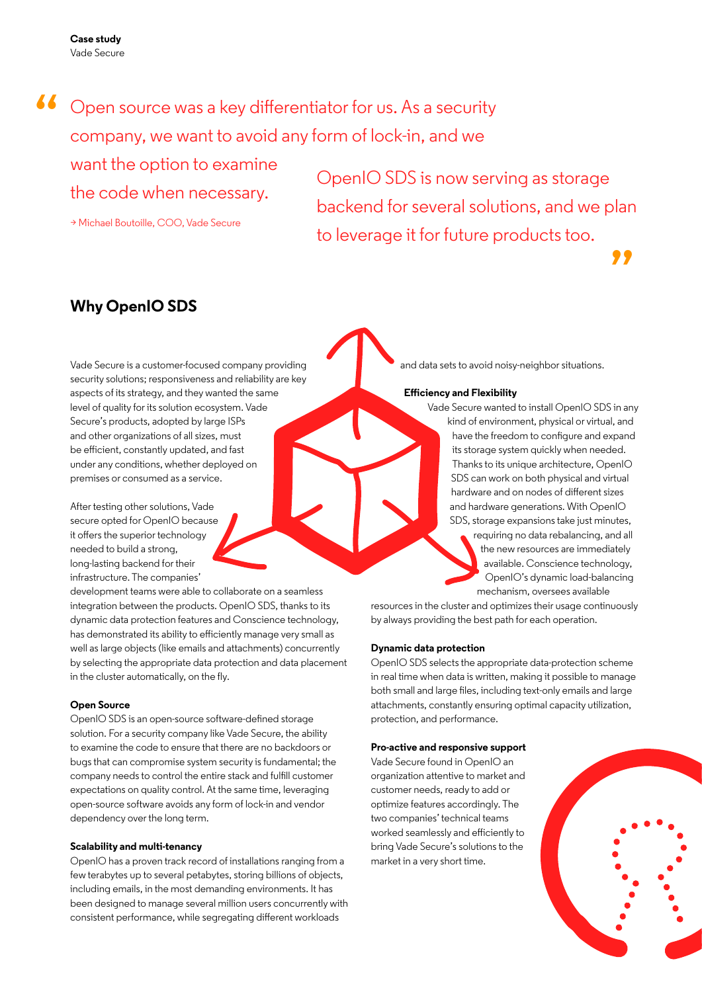**Case study** Vade Secure

# 66 Open source was a key differentiator for us. As a security<br>company, we want to avoid any form of lock-in, and we company, we want to avoid any form of lock-in, and we

want the option to examine

> Michael Boutoille, COO, Vade Secure

the code when necessary. OpenIO SDS is now serving as storage<br>the code when necessary. backend for several solutions, and we plan to leverage it for future products too.

## **Why OpenIO SDS**

Vade Secure is a customer-focused company providing security solutions; responsiveness and reliability are key aspects of its strategy, and they wanted the same level of quality for its solution ecosystem. Vade Secure's products, adopted by large ISPs and other organizations of all sizes, must be efficient, constantly updated, and fast under any conditions, whether deployed on premises or consumed as a service.

After testing other solutions, Vade secure opted for OpenIO because it offers the superior technology needed to build a strong, long-lasting backend for their infrastructure. The companies'

development teams were able to collaborate on a seamless integration between the products. OpenIO SDS, thanks to its dynamic data protection features and Conscience technology, has demonstrated its ability to efficiently manage very small as well as large objects (like emails and attachments) concurrently by selecting the appropriate data protection and data placement in the cluster automatically, on the fly.

#### **Open Source**

OpenIO SDS is an open-source software-defined storage solution. For a security company like Vade Secure, the ability to examine the code to ensure that there are no backdoors or bugs that can compromise system security is fundamental; the company needs to control the entire stack and fulfill customer expectations on quality control. At the same time, leveraging open-source software avoids any form of lock-in and vendor dependency over the long term.

#### **Scalability and multi-tenancy**

OpenIO has a proven track record of installations ranging from a few terabytes up to several petabytes, storing billions of objects, including emails, in the most demanding environments. It has been designed to manage several million users concurrently with consistent performance, while segregating different workloads

and data sets to avoid noisy-neighbor situations.

#### **Efficiency and Flexibility**

Vade Secure wanted to install OpenIO SDS in any kind of environment, physical or virtual, and have the freedom to configure and expand its storage system quickly when needed. Thanks to its unique architecture, OpenIO SDS can work on both physical and virtual hardware and on nodes of different sizes and hardware generations. With OpenIO SDS, storage expansions take just minutes, requiring no data rebalancing, and all the new resources are immediately available. Conscience technology, OpenIO's dynamic load-balancing mechanism, oversees available

resources in the cluster and optimizes their usage continuously by always providing the best path for each operation.

#### **Dynamic data protection**

OpenIO SDS selects the appropriate data-protection scheme in real time when data is written, making it possible to manage both small and large files, including text-only emails and large attachments, constantly ensuring optimal capacity utilization, protection, and performance.

#### **Pro-active and responsive support**

Vade Secure found in OpenIO an organization attentive to market and customer needs, ready to add or optimize features accordingly. The two companies' technical teams worked seamlessly and efficiently to bring Vade Secure's solutions to the market in a very short time.



,,